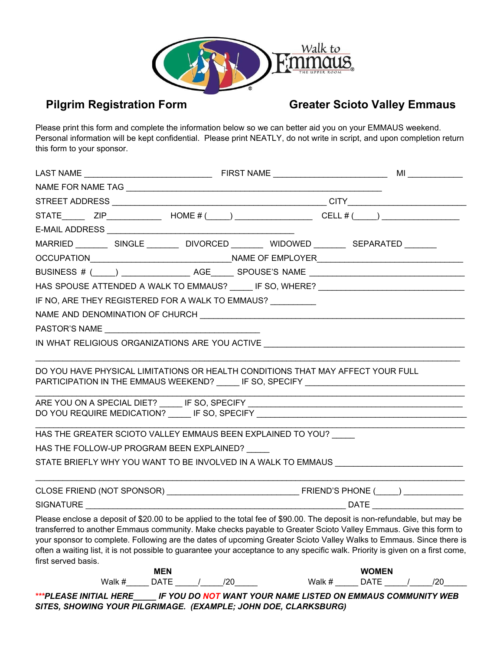

## **Pilgrim Registration Form Greater Scioto Valley Emmaus**

Please print this form and complete the information below so we can better aid you on your EMMAUS weekend. Personal information will be kept confidential. Please print NEATLY, do not write in script, and upon completion return this form to your sponsor.

|                                                                                                                                                                                                                                                                                                                                                                                                                                                                                                                             |  | ML |                                                         |  |
|-----------------------------------------------------------------------------------------------------------------------------------------------------------------------------------------------------------------------------------------------------------------------------------------------------------------------------------------------------------------------------------------------------------------------------------------------------------------------------------------------------------------------------|--|----|---------------------------------------------------------|--|
|                                                                                                                                                                                                                                                                                                                                                                                                                                                                                                                             |  |    |                                                         |  |
|                                                                                                                                                                                                                                                                                                                                                                                                                                                                                                                             |  |    |                                                         |  |
| STATE ZIP $\qquad \qquad$ HOME # ( ) $\qquad \qquad$ CELL # ( ) $\qquad \qquad$                                                                                                                                                                                                                                                                                                                                                                                                                                             |  |    |                                                         |  |
|                                                                                                                                                                                                                                                                                                                                                                                                                                                                                                                             |  |    |                                                         |  |
| MARRIED _________ SINGLE ________ DIVORCED ________ WIDOWED ________ SEPARATED ______                                                                                                                                                                                                                                                                                                                                                                                                                                       |  |    |                                                         |  |
|                                                                                                                                                                                                                                                                                                                                                                                                                                                                                                                             |  |    |                                                         |  |
| BUSINESS # (____) __________________ AGE_______ SPOUSE'S NAME __________________                                                                                                                                                                                                                                                                                                                                                                                                                                            |  |    |                                                         |  |
| HAS SPOUSE ATTENDED A WALK TO EMMAUS? _____ IF SO, WHERE? ______________________                                                                                                                                                                                                                                                                                                                                                                                                                                            |  |    |                                                         |  |
| IF NO, ARE THEY REGISTERED FOR A WALK TO EMMAUS?                                                                                                                                                                                                                                                                                                                                                                                                                                                                            |  |    |                                                         |  |
|                                                                                                                                                                                                                                                                                                                                                                                                                                                                                                                             |  |    |                                                         |  |
|                                                                                                                                                                                                                                                                                                                                                                                                                                                                                                                             |  |    |                                                         |  |
| IN WHAT RELIGIOUS ORGANIZATIONS ARE YOU ACTIVE                                                                                                                                                                                                                                                                                                                                                                                                                                                                              |  |    |                                                         |  |
| PARTICIPATION IN THE EMMAUS WEEKEND? ______ IF SO, SPECIFY _____________________<br>DO YOU REQUIRE MEDICATION? ______ IF SO, SPECIFY _______________________________<br>HAS THE GREATER SCIOTO VALLEY EMMAUS BEEN EXPLAINED TO YOU?<br>HAS THE FOLLOW-UP PROGRAM BEEN EXPLAINED?<br>STATE BRIEFLY WHY YOU WANT TO BE INVOLVED IN A WALK TO EMMAUS ___________________                                                                                                                                                       |  |    |                                                         |  |
|                                                                                                                                                                                                                                                                                                                                                                                                                                                                                                                             |  |    |                                                         |  |
|                                                                                                                                                                                                                                                                                                                                                                                                                                                                                                                             |  |    |                                                         |  |
| Please enclose a deposit of \$20.00 to be applied to the total fee of \$90.00. The deposit is non-refundable, but may be<br>transferred to another Emmaus community. Make checks payable to Greater Scioto Valley Emmaus. Give this form to<br>your sponsor to complete. Following are the dates of upcoming Greater Scioto Valley Walks to Emmaus. Since there is<br>often a waiting list, it is not possible to guarantee your acceptance to any specific walk. Priority is given on a first come,<br>first served basis. |  |    |                                                         |  |
| <b>MEN</b><br>Walk #________ DATE ______/______/20_______                                                                                                                                                                                                                                                                                                                                                                                                                                                                   |  |    | <b>WOMEN</b><br>Walk # ______ DATE _____/ _____/20_____ |  |
| $111711$ $11777$ $11777$ $117711$ $10711$ $118711$ $119171$ $11117$ $110777$ $111771$ $11777$                                                                                                                                                                                                                                                                                                                                                                                                                               |  |    |                                                         |  |

*\*\*\*PLEASE INITIAL HERE\_\_\_\_\_ IF YOU DO NOT WANT YOUR NAME LISTED ON EMMAUS COMMUNITY WEB SITES, SHOWING YOUR PILGRIMAGE. (EXAMPLE; JOHN DOE, CLARKSBURG)*